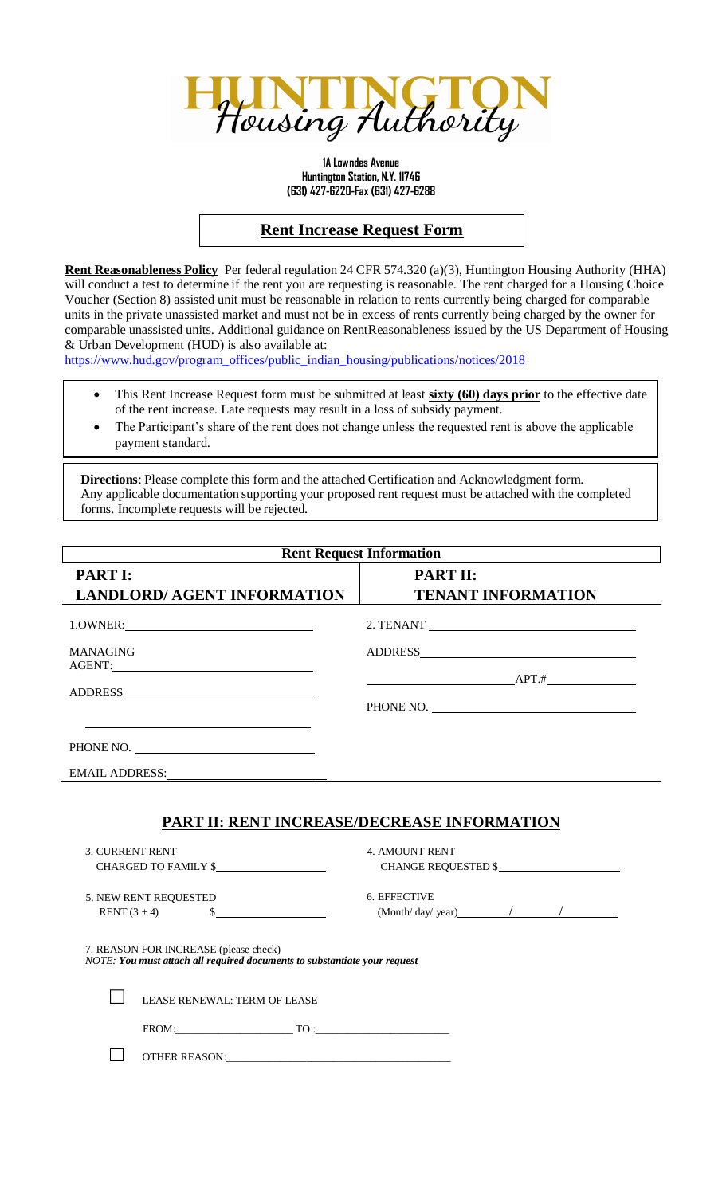

**1A Lowndes Avenue Huntington Station, N.Y. 11746 (631) 427-6220-Fax (631) 427-6288**

## **Rent Increase Request Form**

**Rent Reasonableness Policy** Per federal regulation 24 CFR 574.320 (a)(3), Huntington Housing Authority (HHA) will conduct a test to determine if the rent you are requesting is reasonable. The rent charged for a Housing Choice Voucher (Section 8) assisted unit must be reasonable in relation to rents currently being charged for comparable units in the private unassisted market and must not be in excess of rents currently being charged by the owner for comparable unassisted units. Additional guidance on RentReasonableness issued by the US Department of Housing & Urban Development (HUD) is also available at:

https:/[/www.hud.gov/program\\_offices/public\\_indian\\_housing/publications/notices/2018](http://www.hud.gov/program_offices/public_indian_housing/publications/notices/2018)

- This Rent Increase Request form must be submitted at least **sixty (60) days prior** to the effective date of the rent increase. Late requests may result in a loss of subsidy payment.
- The Participant's share of the rent does not change unless the requested rent is above the applicable payment standard.

**Directions**: Please complete this form and the attached Certification and Acknowledgment form. Any applicable documentation supporting your proposed rent request must be attached with the completed forms. Incomplete requests will be rejected.

| <b>Rent Request Information</b>                                                                                                                    |                                                                                                    |
|----------------------------------------------------------------------------------------------------------------------------------------------------|----------------------------------------------------------------------------------------------------|
| <b>PART I:</b>                                                                                                                                     | <b>PART II:</b>                                                                                    |
| <b>LANDLORD/ AGENT INFORMATION</b>                                                                                                                 | <b>TENANT INFORMATION</b>                                                                          |
|                                                                                                                                                    |                                                                                                    |
| <b>MANAGING</b><br>AGENT: NATURAL PROPERTY AND RESERVE ASSESSED.                                                                                   |                                                                                                    |
|                                                                                                                                                    | $APT.$ #<br>PHONE NO.                                                                              |
| PHONE NO.                                                                                                                                          |                                                                                                    |
|                                                                                                                                                    |                                                                                                    |
| <b>3. CURRENT RENT</b><br>CHARGED TO FAMILY \$                                                                                                     | <b>PART II: RENT INCREASE/DECREASE INFORMATION</b><br><b>4. AMOUNT RENT</b><br>CHANGE REQUESTED \$ |
| 5. NEW RENT REQUESTED<br>s<br><b>RENT</b> $(3 + 4)$                                                                                                | 6. EFFECTIVE<br>$(Month/day/ year)$ / /                                                            |
| 7. REASON FOR INCREASE (please check)<br>NOTE: You must attach all reguired documents to substantiate your request<br>LEASE RENEWAL: TERM OF LEASE |                                                                                                    |
|                                                                                                                                                    |                                                                                                    |
| OTHER REASON: <b>Annual Property of the CONTROL</b>                                                                                                |                                                                                                    |